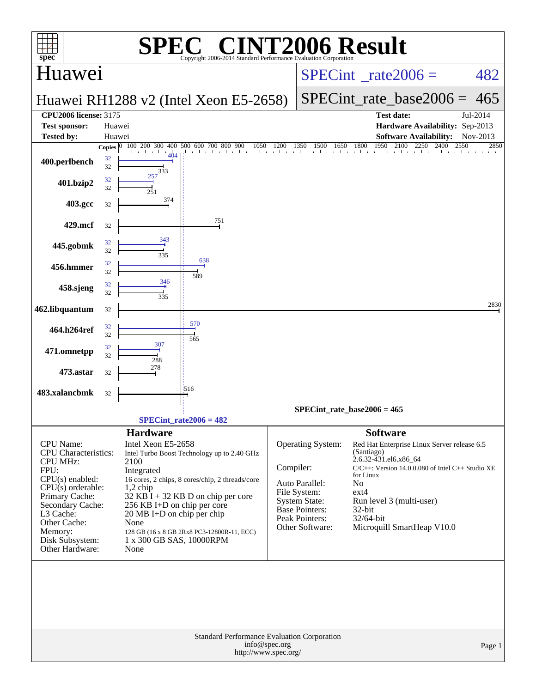| $spec^*$                                  | $\bigwedge$<br>SPJ<br>Copyright 2006-2014 Standard Performance Evaluation Corporation                   | <b>NT2006 Result</b>                                                                                                       |
|-------------------------------------------|---------------------------------------------------------------------------------------------------------|----------------------------------------------------------------------------------------------------------------------------|
| Huawei                                    |                                                                                                         | $SPECint^{\circ}$ rate $2006 =$<br>482                                                                                     |
|                                           | Huawei RH1288 v2 (Intel Xeon E5-2658)                                                                   | $SPECint_rate\_base2006 =$<br>465                                                                                          |
| <b>CPU2006 license: 3175</b>              |                                                                                                         | Jul-2014<br><b>Test date:</b>                                                                                              |
| <b>Test sponsor:</b><br><b>Tested by:</b> | Huawei<br>Huawei                                                                                        | Hardware Availability: Sep-2013<br><b>Software Availability:</b><br>Nov-2013                                               |
|                                           | Copies $\boxed{0}$ 100 200 300 400 500 600 700 800 900<br>1050<br>1200<br>$\mathbf{1}$ and $\mathbf{1}$ | 2100<br>1950<br>2250<br>1500<br>1650<br>1800<br>2400<br>2550<br>2850<br>1350<br>1 . 1 . 1 . 1 . 1 . 1 1 1 1 1 1 1 1 1 1 1  |
| 400.perlbench                             | 404<br>32<br>32<br>333                                                                                  |                                                                                                                            |
| 401.bzip2                                 | 257<br>32<br>32<br>251                                                                                  |                                                                                                                            |
| 403.gcc                                   | 374<br>32                                                                                               |                                                                                                                            |
| 429.mcf                                   | 751<br>32<br>343                                                                                        |                                                                                                                            |
| 445.gobmk                                 | 32<br>32<br>335<br>638                                                                                  |                                                                                                                            |
| 456.hmmer                                 | 32<br>32<br>589                                                                                         |                                                                                                                            |
| 458.sjeng                                 | 346<br>32<br>32<br>335                                                                                  |                                                                                                                            |
| 462.libquantum                            | 32                                                                                                      | 2830                                                                                                                       |
| 464.h264ref                               | 570<br>32<br>32<br>565                                                                                  |                                                                                                                            |
| 471.omnetpp                               | 307<br>32<br>32<br>288                                                                                  |                                                                                                                            |
| 473.astar                                 | 278<br>32                                                                                               |                                                                                                                            |
| 483.xalancbmk                             | 1516<br>32                                                                                              |                                                                                                                            |
|                                           |                                                                                                         | $SPECint_rate_base2006 = 465$                                                                                              |
|                                           | $SPECint_rate2006 = 482$                                                                                |                                                                                                                            |
| CPU Name:<br><b>CPU</b> Characteristics:  | <b>Hardware</b><br>Intel Xeon E5-2658<br>Intel Turbo Boost Technology up to 2.40 GHz                    | <b>Software</b><br>Operating System:<br>Red Hat Enterprise Linux Server release 6.5<br>(Santiago)<br>2.6.32-431.el6.x86_64 |
| <b>CPU MHz:</b><br>FPU:                   | 2100<br>Integrated                                                                                      | Compiler:<br>$C/C++$ : Version 14.0.0.080 of Intel C++ Studio XE                                                           |
| $CPU(s)$ enabled:                         | 16 cores, 2 chips, 8 cores/chip, 2 threads/core                                                         | for Linux<br>No<br>Auto Parallel:                                                                                          |
| $CPU(s)$ orderable:<br>Primary Cache:     | $1,2$ chip<br>$32$ KB I + 32 KB D on chip per core                                                      | File System:<br>$ext{4}$<br><b>System State:</b><br>Run level 3 (multi-user)                                               |
| Secondary Cache:<br>L3 Cache:             | 256 KB I+D on chip per core<br>$20 \text{ MB I+D}$ on chip per chip                                     | <b>Base Pointers:</b><br>$32$ -bit                                                                                         |
| Other Cache:                              | None                                                                                                    | Peak Pointers:<br>32/64-bit<br>Other Software:<br>Microquill SmartHeap V10.0                                               |
| Memory:<br>Disk Subsystem:                | 128 GB (16 x 8 GB 2Rx8 PC3-12800R-11, ECC)<br>1 x 300 GB SAS, 10000RPM                                  |                                                                                                                            |
| Other Hardware:                           | None                                                                                                    |                                                                                                                            |
|                                           |                                                                                                         |                                                                                                                            |
|                                           | Standard Performance Evaluation Corporation<br>info@spec.org<br>http://www.spec.org/                    | Page 1                                                                                                                     |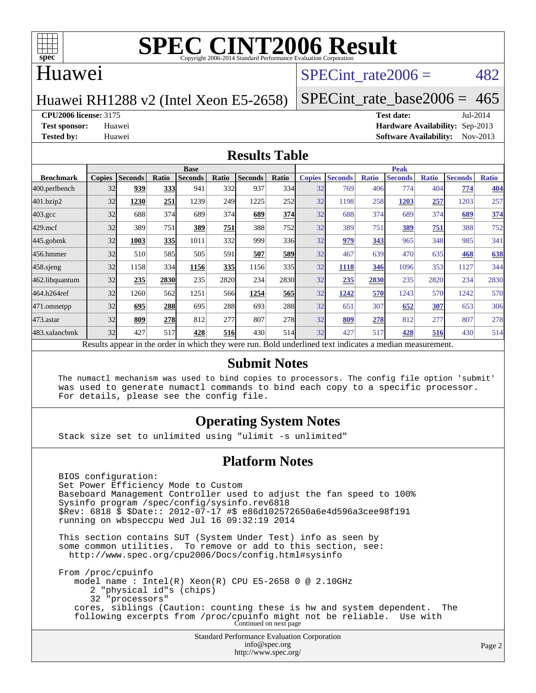

#### Huawei

#### SPECint rate $2006 = 482$

Huawei RH1288 v2 (Intel Xeon E5-2658)

[SPECint\\_rate\\_base2006 =](http://www.spec.org/auto/cpu2006/Docs/result-fields.html#SPECintratebase2006)  $465$ 

**[CPU2006 license:](http://www.spec.org/auto/cpu2006/Docs/result-fields.html#CPU2006license)** 3175 **[Test date:](http://www.spec.org/auto/cpu2006/Docs/result-fields.html#Testdate)** Jul-2014

**[Test sponsor:](http://www.spec.org/auto/cpu2006/Docs/result-fields.html#Testsponsor)** Huawei **[Hardware Availability:](http://www.spec.org/auto/cpu2006/Docs/result-fields.html#HardwareAvailability)** Sep-2013 **[Tested by:](http://www.spec.org/auto/cpu2006/Docs/result-fields.html#Testedby)** Huawei **[Software Availability:](http://www.spec.org/auto/cpu2006/Docs/result-fields.html#SoftwareAvailability)** Nov-2013

#### **[Results Table](http://www.spec.org/auto/cpu2006/Docs/result-fields.html#ResultsTable)**

|                                                                                                          | <b>Base</b>   |                |       |                |            |                | <b>Peak</b> |               |                |              |                |              |                |              |
|----------------------------------------------------------------------------------------------------------|---------------|----------------|-------|----------------|------------|----------------|-------------|---------------|----------------|--------------|----------------|--------------|----------------|--------------|
| <b>Benchmark</b>                                                                                         | <b>Copies</b> | <b>Seconds</b> | Ratio | <b>Seconds</b> | Ratio      | <b>Seconds</b> | Ratio       | <b>Copies</b> | <b>Seconds</b> | <b>Ratio</b> | <b>Seconds</b> | <b>Ratio</b> | <b>Seconds</b> | <b>Ratio</b> |
| 400.perlbench                                                                                            | 32            | 939            | 333   | 941            | 332        | 937            | 334         | 32            | 769            | 406          | 774            | 404          | 774            | 404          |
| 401.bzip2                                                                                                | 32            | 1230           | 251   | 1239           | 249        | 1225           | 252         | 32            | 1198           | 258          | 1203           | 257          | 1203           | 257          |
| $403.\mathrm{gcc}$                                                                                       | 32            | 688            | 374   | 689            | 374        | 689            | 374         | 32            | 688            | 374          | 689            | 374          | 689            | 374          |
| $429$ .mcf                                                                                               | 32            | 389            | 751   | 389            | 751        | 388            | 752         | 32            | 389            | 751          | 389            | 751          | 388            | 752          |
| $445$ .gobmk                                                                                             | 32            | 1003           | 335   | 1011           | 332        | 999            | 336         | 32            | 979            | 343          | 965            | 348          | 985            | 341          |
| 456.hmmer                                                                                                | 32            | 510            | 585   | 505            | 591        | 507            | 589         | 32            | 467            | 639          | 470            | 635          | 468            | 638          |
| $458$ .sjeng                                                                                             | 32            | 1158           | 334   | 1156           | 335        | 1156           | 335         | 32            | 1118           | 346          | 1096           | 353          | 1127           | 344          |
| 462.libquantum                                                                                           | 32            | 235            | 2830  | 235            | 2820       | 234            | 2830        | 32            | 235            | 2830         | 235            | 2820         | 234            | 2830         |
| 464.h264ref                                                                                              | 32            | 1260           | 562   | 1251           | 566        | 1254           | 565         | 32            | 1242           | 570          | 1243           | 570          | 1242           | 570          |
| 471.omnetpp                                                                                              | 32            | 695            | 288   | 695            | 288        | 693            | 288         | 32            | 651            | 307          | 652            | 307          | 653            | 306          |
| $473$ . astar                                                                                            | 32            | 809            | 278   | 812            | 277        | 807            | 278         | 32            | 809            | 278          | 812            | 277          | 807            | 278          |
| 483.xalancbmk                                                                                            | 32            | 427            | 517   | 428            | <b>516</b> | 430            | 514         | 32            | 427            | 517          | 428            | 516          | 430            | 514          |
| Results appear in the order in which they were run. Bold underlined text indicates a median measurement. |               |                |       |                |            |                |             |               |                |              |                |              |                |              |

#### **[Submit Notes](http://www.spec.org/auto/cpu2006/Docs/result-fields.html#SubmitNotes)**

 The numactl mechanism was used to bind copies to processors. The config file option 'submit' was used to generate numactl commands to bind each copy to a specific processor. For details, please see the config file.

#### **[Operating System Notes](http://www.spec.org/auto/cpu2006/Docs/result-fields.html#OperatingSystemNotes)**

Stack size set to unlimited using "ulimit -s unlimited"

#### **[Platform Notes](http://www.spec.org/auto/cpu2006/Docs/result-fields.html#PlatformNotes)**

 BIOS configuration: Set Power Efficiency Mode to Custom Baseboard Management Controller used to adjust the fan speed to 100% Sysinfo program /spec/config/sysinfo.rev6818 \$Rev: 6818 \$ \$Date:: 2012-07-17 #\$ e86d102572650a6e4d596a3cee98f191 running on wbspeccpu Wed Jul 16 09:32:19 2014 This section contains SUT (System Under Test) info as seen by some common utilities. To remove or add to this section, see: <http://www.spec.org/cpu2006/Docs/config.html#sysinfo> From /proc/cpuinfo model name : Intel(R) Xeon(R) CPU E5-2658 0 @ 2.10GHz

 2 "physical id"s (chips) 32 "processors" cores, siblings (Caution: counting these is hw and system dependent. The following excerpts from /proc/cpuinfo might not be reliable. Use with Continued on next page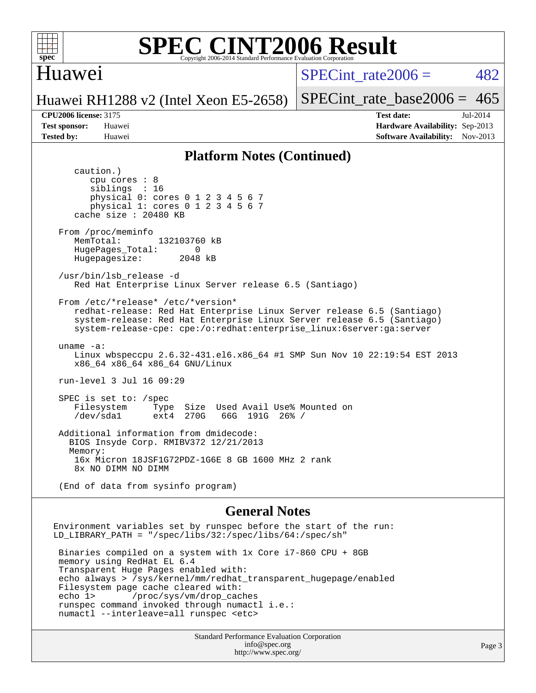

#### Huawei

SPECint rate $2006 = 482$ 

Huawei RH1288 v2 (Intel Xeon E5-2658)

[SPECint\\_rate\\_base2006 =](http://www.spec.org/auto/cpu2006/Docs/result-fields.html#SPECintratebase2006)  $465$ 

**[CPU2006 license:](http://www.spec.org/auto/cpu2006/Docs/result-fields.html#CPU2006license)** 3175 **[Test date:](http://www.spec.org/auto/cpu2006/Docs/result-fields.html#Testdate)** Jul-2014 **[Test sponsor:](http://www.spec.org/auto/cpu2006/Docs/result-fields.html#Testsponsor)** Huawei **[Hardware Availability:](http://www.spec.org/auto/cpu2006/Docs/result-fields.html#HardwareAvailability)** Sep-2013 **[Tested by:](http://www.spec.org/auto/cpu2006/Docs/result-fields.html#Testedby)** Huawei **[Software Availability:](http://www.spec.org/auto/cpu2006/Docs/result-fields.html#SoftwareAvailability)** Nov-2013

#### **[Platform Notes \(Continued\)](http://www.spec.org/auto/cpu2006/Docs/result-fields.html#PlatformNotes)**

 caution.) cpu cores : 8 siblings : 16 physical 0: cores 0 1 2 3 4 5 6 7 physical 1: cores 0 1 2 3 4 5 6 7 cache size : 20480 KB From /proc/meminfo MemTotal: 132103760 kB HugePages\_Total: 0<br>Hugepagesize: 2048 kB Hugepagesize: /usr/bin/lsb\_release -d Red Hat Enterprise Linux Server release 6.5 (Santiago) From /etc/\*release\* /etc/\*version\* redhat-release: Red Hat Enterprise Linux Server release 6.5 (Santiago) system-release: Red Hat Enterprise Linux Server release 6.5 (Santiago) system-release-cpe: cpe:/o:redhat:enterprise\_linux:6server:ga:server uname -a: Linux wbspeccpu 2.6.32-431.el6.x86\_64 #1 SMP Sun Nov 10 22:19:54 EST 2013 x86\_64 x86\_64 x86\_64 GNU/Linux run-level 3 Jul 16 09:29 SPEC is set to: /spec<br>Filesystem Type Filesystem Type Size Used Avail Use% Mounted on 66G 191G 26% / Additional information from dmidecode: BIOS Insyde Corp. RMIBV372 12/21/2013 Memory: 16x Micron 18JSF1G72PDZ-1G6E 8 GB 1600 MHz 2 rank 8x NO DIMM NO DIMM (End of data from sysinfo program) **[General Notes](http://www.spec.org/auto/cpu2006/Docs/result-fields.html#GeneralNotes)**

Environment variables set by runspec before the start of the run: LD\_LIBRARY\_PATH = "/spec/libs/32:/spec/libs/64:/spec/sh" Binaries compiled on a system with 1x Core i7-860 CPU + 8GB memory using RedHat EL 6.4 Transparent Huge Pages enabled with: echo always > /sys/kernel/mm/redhat\_transparent\_hugepage/enabled Filesystem page cache cleared with: echo 1> /proc/sys/vm/drop\_caches runspec command invoked through numactl i.e.: numactl --interleave=all runspec <etc>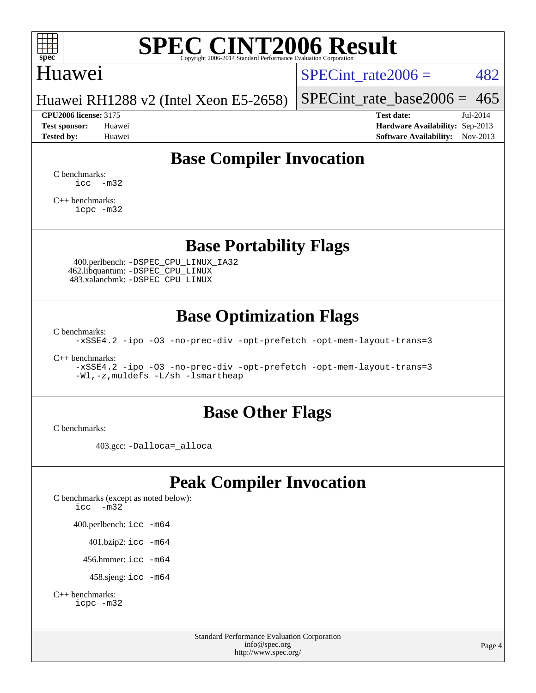

#### Huawei

SPECint rate $2006 = 482$ 

Huawei RH1288 v2 (Intel Xeon E5-2658)

[SPECint\\_rate\\_base2006 =](http://www.spec.org/auto/cpu2006/Docs/result-fields.html#SPECintratebase2006)  $465$ **[CPU2006 license:](http://www.spec.org/auto/cpu2006/Docs/result-fields.html#CPU2006license)** 3175 **[Test date:](http://www.spec.org/auto/cpu2006/Docs/result-fields.html#Testdate)** Jul-2014

**[Test sponsor:](http://www.spec.org/auto/cpu2006/Docs/result-fields.html#Testsponsor)** Huawei **[Hardware Availability:](http://www.spec.org/auto/cpu2006/Docs/result-fields.html#HardwareAvailability)** Sep-2013 **[Tested by:](http://www.spec.org/auto/cpu2006/Docs/result-fields.html#Testedby)** Huawei **[Software Availability:](http://www.spec.org/auto/cpu2006/Docs/result-fields.html#SoftwareAvailability)** Nov-2013

### **[Base Compiler Invocation](http://www.spec.org/auto/cpu2006/Docs/result-fields.html#BaseCompilerInvocation)**

[C benchmarks](http://www.spec.org/auto/cpu2006/Docs/result-fields.html#Cbenchmarks):  $\text{icc}$   $-\text{m32}$ 

[C++ benchmarks:](http://www.spec.org/auto/cpu2006/Docs/result-fields.html#CXXbenchmarks) [icpc -m32](http://www.spec.org/cpu2006/results/res2014q3/cpu2006-20140728-30664.flags.html#user_CXXbase_intel_icpc_4e5a5ef1a53fd332b3c49e69c3330699)

**[Base Portability Flags](http://www.spec.org/auto/cpu2006/Docs/result-fields.html#BasePortabilityFlags)**

 400.perlbench: [-DSPEC\\_CPU\\_LINUX\\_IA32](http://www.spec.org/cpu2006/results/res2014q3/cpu2006-20140728-30664.flags.html#b400.perlbench_baseCPORTABILITY_DSPEC_CPU_LINUX_IA32) 462.libquantum: [-DSPEC\\_CPU\\_LINUX](http://www.spec.org/cpu2006/results/res2014q3/cpu2006-20140728-30664.flags.html#b462.libquantum_baseCPORTABILITY_DSPEC_CPU_LINUX) 483.xalancbmk: [-DSPEC\\_CPU\\_LINUX](http://www.spec.org/cpu2006/results/res2014q3/cpu2006-20140728-30664.flags.html#b483.xalancbmk_baseCXXPORTABILITY_DSPEC_CPU_LINUX)

#### **[Base Optimization Flags](http://www.spec.org/auto/cpu2006/Docs/result-fields.html#BaseOptimizationFlags)**

[C benchmarks](http://www.spec.org/auto/cpu2006/Docs/result-fields.html#Cbenchmarks):

[-xSSE4.2](http://www.spec.org/cpu2006/results/res2014q3/cpu2006-20140728-30664.flags.html#user_CCbase_f-xSSE42_f91528193cf0b216347adb8b939d4107) [-ipo](http://www.spec.org/cpu2006/results/res2014q3/cpu2006-20140728-30664.flags.html#user_CCbase_f-ipo) [-O3](http://www.spec.org/cpu2006/results/res2014q3/cpu2006-20140728-30664.flags.html#user_CCbase_f-O3) [-no-prec-div](http://www.spec.org/cpu2006/results/res2014q3/cpu2006-20140728-30664.flags.html#user_CCbase_f-no-prec-div) [-opt-prefetch](http://www.spec.org/cpu2006/results/res2014q3/cpu2006-20140728-30664.flags.html#user_CCbase_f-opt-prefetch) [-opt-mem-layout-trans=3](http://www.spec.org/cpu2006/results/res2014q3/cpu2006-20140728-30664.flags.html#user_CCbase_f-opt-mem-layout-trans_a7b82ad4bd7abf52556d4961a2ae94d5)

[C++ benchmarks:](http://www.spec.org/auto/cpu2006/Docs/result-fields.html#CXXbenchmarks)

[-xSSE4.2](http://www.spec.org/cpu2006/results/res2014q3/cpu2006-20140728-30664.flags.html#user_CXXbase_f-xSSE42_f91528193cf0b216347adb8b939d4107) [-ipo](http://www.spec.org/cpu2006/results/res2014q3/cpu2006-20140728-30664.flags.html#user_CXXbase_f-ipo) [-O3](http://www.spec.org/cpu2006/results/res2014q3/cpu2006-20140728-30664.flags.html#user_CXXbase_f-O3) [-no-prec-div](http://www.spec.org/cpu2006/results/res2014q3/cpu2006-20140728-30664.flags.html#user_CXXbase_f-no-prec-div) [-opt-prefetch](http://www.spec.org/cpu2006/results/res2014q3/cpu2006-20140728-30664.flags.html#user_CXXbase_f-opt-prefetch) [-opt-mem-layout-trans=3](http://www.spec.org/cpu2006/results/res2014q3/cpu2006-20140728-30664.flags.html#user_CXXbase_f-opt-mem-layout-trans_a7b82ad4bd7abf52556d4961a2ae94d5) [-Wl,-z,muldefs](http://www.spec.org/cpu2006/results/res2014q3/cpu2006-20140728-30664.flags.html#user_CXXbase_link_force_multiple1_74079c344b956b9658436fd1b6dd3a8a) [-L/sh -lsmartheap](http://www.spec.org/cpu2006/results/res2014q3/cpu2006-20140728-30664.flags.html#user_CXXbase_SmartHeap_32f6c82aa1ed9c52345d30cf6e4a0499)

#### **[Base Other Flags](http://www.spec.org/auto/cpu2006/Docs/result-fields.html#BaseOtherFlags)**

[C benchmarks](http://www.spec.org/auto/cpu2006/Docs/result-fields.html#Cbenchmarks):

403.gcc: [-Dalloca=\\_alloca](http://www.spec.org/cpu2006/results/res2014q3/cpu2006-20140728-30664.flags.html#b403.gcc_baseEXTRA_CFLAGS_Dalloca_be3056838c12de2578596ca5467af7f3)

### **[Peak Compiler Invocation](http://www.spec.org/auto/cpu2006/Docs/result-fields.html#PeakCompilerInvocation)**

[C benchmarks \(except as noted below\)](http://www.spec.org/auto/cpu2006/Docs/result-fields.html#Cbenchmarksexceptasnotedbelow): [icc -m32](http://www.spec.org/cpu2006/results/res2014q3/cpu2006-20140728-30664.flags.html#user_CCpeak_intel_icc_5ff4a39e364c98233615fdd38438c6f2) 400.perlbench: [icc -m64](http://www.spec.org/cpu2006/results/res2014q3/cpu2006-20140728-30664.flags.html#user_peakCCLD400_perlbench_intel_icc_64bit_bda6cc9af1fdbb0edc3795bac97ada53) 401.bzip2: [icc -m64](http://www.spec.org/cpu2006/results/res2014q3/cpu2006-20140728-30664.flags.html#user_peakCCLD401_bzip2_intel_icc_64bit_bda6cc9af1fdbb0edc3795bac97ada53)

456.hmmer: [icc -m64](http://www.spec.org/cpu2006/results/res2014q3/cpu2006-20140728-30664.flags.html#user_peakCCLD456_hmmer_intel_icc_64bit_bda6cc9af1fdbb0edc3795bac97ada53)

458.sjeng: [icc -m64](http://www.spec.org/cpu2006/results/res2014q3/cpu2006-20140728-30664.flags.html#user_peakCCLD458_sjeng_intel_icc_64bit_bda6cc9af1fdbb0edc3795bac97ada53)

```
C++ benchmarks: 
icpc -m32
```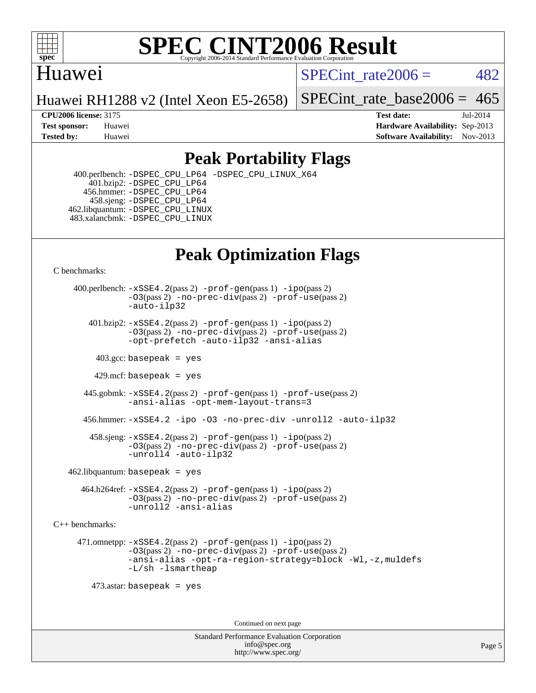

#### Huawei

SPECint rate $2006 = 482$ 

Huawei RH1288 v2 (Intel Xeon E5-2658)

[SPECint\\_rate\\_base2006 =](http://www.spec.org/auto/cpu2006/Docs/result-fields.html#SPECintratebase2006)  $465$ 

**[CPU2006 license:](http://www.spec.org/auto/cpu2006/Docs/result-fields.html#CPU2006license)** 3175 **[Test date:](http://www.spec.org/auto/cpu2006/Docs/result-fields.html#Testdate)** Jul-2014 **[Test sponsor:](http://www.spec.org/auto/cpu2006/Docs/result-fields.html#Testsponsor)** Huawei **[Hardware Availability:](http://www.spec.org/auto/cpu2006/Docs/result-fields.html#HardwareAvailability)** Sep-2013 **[Tested by:](http://www.spec.org/auto/cpu2006/Docs/result-fields.html#Testedby)** Huawei **[Software Availability:](http://www.spec.org/auto/cpu2006/Docs/result-fields.html#SoftwareAvailability)** Nov-2013

### **[Peak Portability Flags](http://www.spec.org/auto/cpu2006/Docs/result-fields.html#PeakPortabilityFlags)**

 400.perlbench: [-DSPEC\\_CPU\\_LP64](http://www.spec.org/cpu2006/results/res2014q3/cpu2006-20140728-30664.flags.html#b400.perlbench_peakCPORTABILITY_DSPEC_CPU_LP64) [-DSPEC\\_CPU\\_LINUX\\_X64](http://www.spec.org/cpu2006/results/res2014q3/cpu2006-20140728-30664.flags.html#b400.perlbench_peakCPORTABILITY_DSPEC_CPU_LINUX_X64) 401.bzip2: [-DSPEC\\_CPU\\_LP64](http://www.spec.org/cpu2006/results/res2014q3/cpu2006-20140728-30664.flags.html#suite_peakCPORTABILITY401_bzip2_DSPEC_CPU_LP64) 456.hmmer: [-DSPEC\\_CPU\\_LP64](http://www.spec.org/cpu2006/results/res2014q3/cpu2006-20140728-30664.flags.html#suite_peakCPORTABILITY456_hmmer_DSPEC_CPU_LP64) 458.sjeng: [-DSPEC\\_CPU\\_LP64](http://www.spec.org/cpu2006/results/res2014q3/cpu2006-20140728-30664.flags.html#suite_peakCPORTABILITY458_sjeng_DSPEC_CPU_LP64) 462.libquantum: [-DSPEC\\_CPU\\_LINUX](http://www.spec.org/cpu2006/results/res2014q3/cpu2006-20140728-30664.flags.html#b462.libquantum_peakCPORTABILITY_DSPEC_CPU_LINUX) 483.xalancbmk: [-DSPEC\\_CPU\\_LINUX](http://www.spec.org/cpu2006/results/res2014q3/cpu2006-20140728-30664.flags.html#b483.xalancbmk_peakCXXPORTABILITY_DSPEC_CPU_LINUX)

### **[Peak Optimization Flags](http://www.spec.org/auto/cpu2006/Docs/result-fields.html#PeakOptimizationFlags)**

[C benchmarks](http://www.spec.org/auto/cpu2006/Docs/result-fields.html#Cbenchmarks):

 400.perlbench: [-xSSE4.2](http://www.spec.org/cpu2006/results/res2014q3/cpu2006-20140728-30664.flags.html#user_peakPASS2_CFLAGSPASS2_LDCFLAGS400_perlbench_f-xSSE42_f91528193cf0b216347adb8b939d4107)(pass 2) [-prof-gen](http://www.spec.org/cpu2006/results/res2014q3/cpu2006-20140728-30664.flags.html#user_peakPASS1_CFLAGSPASS1_LDCFLAGS400_perlbench_prof_gen_e43856698f6ca7b7e442dfd80e94a8fc)(pass 1) [-ipo](http://www.spec.org/cpu2006/results/res2014q3/cpu2006-20140728-30664.flags.html#user_peakPASS2_CFLAGSPASS2_LDCFLAGS400_perlbench_f-ipo)(pass 2) [-O3](http://www.spec.org/cpu2006/results/res2014q3/cpu2006-20140728-30664.flags.html#user_peakPASS2_CFLAGSPASS2_LDCFLAGS400_perlbench_f-O3)(pass 2) [-no-prec-div](http://www.spec.org/cpu2006/results/res2014q3/cpu2006-20140728-30664.flags.html#user_peakPASS2_CFLAGSPASS2_LDCFLAGS400_perlbench_f-no-prec-div)(pass 2) [-prof-use](http://www.spec.org/cpu2006/results/res2014q3/cpu2006-20140728-30664.flags.html#user_peakPASS2_CFLAGSPASS2_LDCFLAGS400_perlbench_prof_use_bccf7792157ff70d64e32fe3e1250b55)(pass 2) [-auto-ilp32](http://www.spec.org/cpu2006/results/res2014q3/cpu2006-20140728-30664.flags.html#user_peakCOPTIMIZE400_perlbench_f-auto-ilp32)  $401.bzip2: -xSSE4.2(pass 2) -prof-qen(pass 1) -ipo(pass 2)$  $401.bzip2: -xSSE4.2(pass 2) -prof-qen(pass 1) -ipo(pass 2)$  $401.bzip2: -xSSE4.2(pass 2) -prof-qen(pass 1) -ipo(pass 2)$  $401.bzip2: -xSSE4.2(pass 2) -prof-qen(pass 1) -ipo(pass 2)$  $401.bzip2: -xSSE4.2(pass 2) -prof-qen(pass 1) -ipo(pass 2)$ [-O3](http://www.spec.org/cpu2006/results/res2014q3/cpu2006-20140728-30664.flags.html#user_peakPASS2_CFLAGSPASS2_LDCFLAGS401_bzip2_f-O3)(pass 2) [-no-prec-div](http://www.spec.org/cpu2006/results/res2014q3/cpu2006-20140728-30664.flags.html#user_peakPASS2_CFLAGSPASS2_LDCFLAGS401_bzip2_f-no-prec-div)(pass 2) [-prof-use](http://www.spec.org/cpu2006/results/res2014q3/cpu2006-20140728-30664.flags.html#user_peakPASS2_CFLAGSPASS2_LDCFLAGS401_bzip2_prof_use_bccf7792157ff70d64e32fe3e1250b55)(pass 2) [-opt-prefetch](http://www.spec.org/cpu2006/results/res2014q3/cpu2006-20140728-30664.flags.html#user_peakCOPTIMIZE401_bzip2_f-opt-prefetch) [-auto-ilp32](http://www.spec.org/cpu2006/results/res2014q3/cpu2006-20140728-30664.flags.html#user_peakCOPTIMIZE401_bzip2_f-auto-ilp32) [-ansi-alias](http://www.spec.org/cpu2006/results/res2014q3/cpu2006-20140728-30664.flags.html#user_peakCOPTIMIZE401_bzip2_f-ansi-alias)  $403.\text{sec: basepeak}$  = yes 429.mcf: basepeak = yes 445.gobmk: [-xSSE4.2](http://www.spec.org/cpu2006/results/res2014q3/cpu2006-20140728-30664.flags.html#user_peakPASS2_CFLAGSPASS2_LDCFLAGS445_gobmk_f-xSSE42_f91528193cf0b216347adb8b939d4107)(pass 2) [-prof-gen](http://www.spec.org/cpu2006/results/res2014q3/cpu2006-20140728-30664.flags.html#user_peakPASS1_CFLAGSPASS1_LDCFLAGS445_gobmk_prof_gen_e43856698f6ca7b7e442dfd80e94a8fc)(pass 1) [-prof-use](http://www.spec.org/cpu2006/results/res2014q3/cpu2006-20140728-30664.flags.html#user_peakPASS2_CFLAGSPASS2_LDCFLAGS445_gobmk_prof_use_bccf7792157ff70d64e32fe3e1250b55)(pass 2) [-ansi-alias](http://www.spec.org/cpu2006/results/res2014q3/cpu2006-20140728-30664.flags.html#user_peakCOPTIMIZE445_gobmk_f-ansi-alias) [-opt-mem-layout-trans=3](http://www.spec.org/cpu2006/results/res2014q3/cpu2006-20140728-30664.flags.html#user_peakCOPTIMIZE445_gobmk_f-opt-mem-layout-trans_a7b82ad4bd7abf52556d4961a2ae94d5) 456.hmmer: [-xSSE4.2](http://www.spec.org/cpu2006/results/res2014q3/cpu2006-20140728-30664.flags.html#user_peakCOPTIMIZE456_hmmer_f-xSSE42_f91528193cf0b216347adb8b939d4107) [-ipo](http://www.spec.org/cpu2006/results/res2014q3/cpu2006-20140728-30664.flags.html#user_peakCOPTIMIZE456_hmmer_f-ipo) [-O3](http://www.spec.org/cpu2006/results/res2014q3/cpu2006-20140728-30664.flags.html#user_peakCOPTIMIZE456_hmmer_f-O3) [-no-prec-div](http://www.spec.org/cpu2006/results/res2014q3/cpu2006-20140728-30664.flags.html#user_peakCOPTIMIZE456_hmmer_f-no-prec-div) [-unroll2](http://www.spec.org/cpu2006/results/res2014q3/cpu2006-20140728-30664.flags.html#user_peakCOPTIMIZE456_hmmer_f-unroll_784dae83bebfb236979b41d2422d7ec2) [-auto-ilp32](http://www.spec.org/cpu2006/results/res2014q3/cpu2006-20140728-30664.flags.html#user_peakCOPTIMIZE456_hmmer_f-auto-ilp32) 458.sjeng: [-xSSE4.2](http://www.spec.org/cpu2006/results/res2014q3/cpu2006-20140728-30664.flags.html#user_peakPASS2_CFLAGSPASS2_LDCFLAGS458_sjeng_f-xSSE42_f91528193cf0b216347adb8b939d4107)(pass 2) [-prof-gen](http://www.spec.org/cpu2006/results/res2014q3/cpu2006-20140728-30664.flags.html#user_peakPASS1_CFLAGSPASS1_LDCFLAGS458_sjeng_prof_gen_e43856698f6ca7b7e442dfd80e94a8fc)(pass 1) [-ipo](http://www.spec.org/cpu2006/results/res2014q3/cpu2006-20140728-30664.flags.html#user_peakPASS2_CFLAGSPASS2_LDCFLAGS458_sjeng_f-ipo)(pass 2) [-O3](http://www.spec.org/cpu2006/results/res2014q3/cpu2006-20140728-30664.flags.html#user_peakPASS2_CFLAGSPASS2_LDCFLAGS458_sjeng_f-O3)(pass 2) [-no-prec-div](http://www.spec.org/cpu2006/results/res2014q3/cpu2006-20140728-30664.flags.html#user_peakPASS2_CFLAGSPASS2_LDCFLAGS458_sjeng_f-no-prec-div)(pass 2) [-prof-use](http://www.spec.org/cpu2006/results/res2014q3/cpu2006-20140728-30664.flags.html#user_peakPASS2_CFLAGSPASS2_LDCFLAGS458_sjeng_prof_use_bccf7792157ff70d64e32fe3e1250b55)(pass 2) [-unroll4](http://www.spec.org/cpu2006/results/res2014q3/cpu2006-20140728-30664.flags.html#user_peakCOPTIMIZE458_sjeng_f-unroll_4e5e4ed65b7fd20bdcd365bec371b81f) [-auto-ilp32](http://www.spec.org/cpu2006/results/res2014q3/cpu2006-20140728-30664.flags.html#user_peakCOPTIMIZE458_sjeng_f-auto-ilp32)  $462$ .libquantum: basepeak = yes 464.h264ref: [-xSSE4.2](http://www.spec.org/cpu2006/results/res2014q3/cpu2006-20140728-30664.flags.html#user_peakPASS2_CFLAGSPASS2_LDCFLAGS464_h264ref_f-xSSE42_f91528193cf0b216347adb8b939d4107)(pass 2) [-prof-gen](http://www.spec.org/cpu2006/results/res2014q3/cpu2006-20140728-30664.flags.html#user_peakPASS1_CFLAGSPASS1_LDCFLAGS464_h264ref_prof_gen_e43856698f6ca7b7e442dfd80e94a8fc)(pass 1) [-ipo](http://www.spec.org/cpu2006/results/res2014q3/cpu2006-20140728-30664.flags.html#user_peakPASS2_CFLAGSPASS2_LDCFLAGS464_h264ref_f-ipo)(pass 2) [-O3](http://www.spec.org/cpu2006/results/res2014q3/cpu2006-20140728-30664.flags.html#user_peakPASS2_CFLAGSPASS2_LDCFLAGS464_h264ref_f-O3)(pass 2) [-no-prec-div](http://www.spec.org/cpu2006/results/res2014q3/cpu2006-20140728-30664.flags.html#user_peakPASS2_CFLAGSPASS2_LDCFLAGS464_h264ref_f-no-prec-div)(pass 2) [-prof-use](http://www.spec.org/cpu2006/results/res2014q3/cpu2006-20140728-30664.flags.html#user_peakPASS2_CFLAGSPASS2_LDCFLAGS464_h264ref_prof_use_bccf7792157ff70d64e32fe3e1250b55)(pass 2) [-unroll2](http://www.spec.org/cpu2006/results/res2014q3/cpu2006-20140728-30664.flags.html#user_peakCOPTIMIZE464_h264ref_f-unroll_784dae83bebfb236979b41d2422d7ec2) [-ansi-alias](http://www.spec.org/cpu2006/results/res2014q3/cpu2006-20140728-30664.flags.html#user_peakCOPTIMIZE464_h264ref_f-ansi-alias)

[C++ benchmarks:](http://www.spec.org/auto/cpu2006/Docs/result-fields.html#CXXbenchmarks)

 471.omnetpp: [-xSSE4.2](http://www.spec.org/cpu2006/results/res2014q3/cpu2006-20140728-30664.flags.html#user_peakPASS2_CXXFLAGSPASS2_LDCXXFLAGS471_omnetpp_f-xSSE42_f91528193cf0b216347adb8b939d4107)(pass 2) [-prof-gen](http://www.spec.org/cpu2006/results/res2014q3/cpu2006-20140728-30664.flags.html#user_peakPASS1_CXXFLAGSPASS1_LDCXXFLAGS471_omnetpp_prof_gen_e43856698f6ca7b7e442dfd80e94a8fc)(pass 1) [-ipo](http://www.spec.org/cpu2006/results/res2014q3/cpu2006-20140728-30664.flags.html#user_peakPASS2_CXXFLAGSPASS2_LDCXXFLAGS471_omnetpp_f-ipo)(pass 2) [-O3](http://www.spec.org/cpu2006/results/res2014q3/cpu2006-20140728-30664.flags.html#user_peakPASS2_CXXFLAGSPASS2_LDCXXFLAGS471_omnetpp_f-O3)(pass 2) [-no-prec-div](http://www.spec.org/cpu2006/results/res2014q3/cpu2006-20140728-30664.flags.html#user_peakPASS2_CXXFLAGSPASS2_LDCXXFLAGS471_omnetpp_f-no-prec-div)(pass 2) [-prof-use](http://www.spec.org/cpu2006/results/res2014q3/cpu2006-20140728-30664.flags.html#user_peakPASS2_CXXFLAGSPASS2_LDCXXFLAGS471_omnetpp_prof_use_bccf7792157ff70d64e32fe3e1250b55)(pass 2) [-ansi-alias](http://www.spec.org/cpu2006/results/res2014q3/cpu2006-20140728-30664.flags.html#user_peakCXXOPTIMIZE471_omnetpp_f-ansi-alias) [-opt-ra-region-strategy=block](http://www.spec.org/cpu2006/results/res2014q3/cpu2006-20140728-30664.flags.html#user_peakCXXOPTIMIZE471_omnetpp_f-opt-ra-region-strategy_a0a37c372d03933b2a18d4af463c1f69) [-Wl,-z,muldefs](http://www.spec.org/cpu2006/results/res2014q3/cpu2006-20140728-30664.flags.html#user_peakEXTRA_LDFLAGS471_omnetpp_link_force_multiple1_74079c344b956b9658436fd1b6dd3a8a) [-L/sh -lsmartheap](http://www.spec.org/cpu2006/results/res2014q3/cpu2006-20140728-30664.flags.html#user_peakEXTRA_LIBS471_omnetpp_SmartHeap_32f6c82aa1ed9c52345d30cf6e4a0499)

473.astar: basepeak = yes

Continued on next page